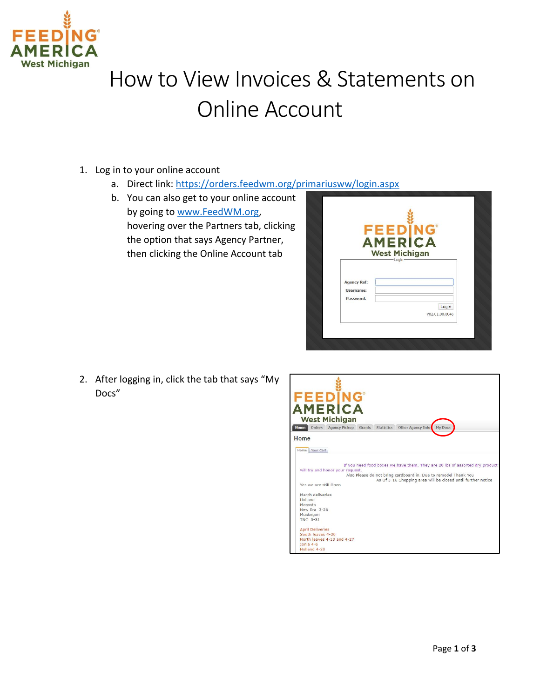

## How to View Invoices & Statements on Online Account

- 1. Log in to your online account
	- a. Direct link:<https://orders.feedwm.org/primariusww/login.aspx>
	- b. You can also get to your online account by going to [www.FeedWM.org,](http://www.feedwm.org/) hovering over the Partners tab, clicking the option that says Agency Partner, then clicking the Online Account tab

|                        | <b>FEEDING</b>                         |
|------------------------|----------------------------------------|
|                        | <b>AMERICA</b><br><b>West Michigan</b> |
|                        | -Login                                 |
| <b>Agency Ref:</b>     |                                        |
| Username:<br>Password: |                                        |
|                        | Login<br>V02.01.00.0046                |

2. After logging in, click the tab that says "My Docs"

| <b>FEEDING®</b><br><b>AMERICA</b>                                                                                                                                                                                                                                                                                                                                     |
|-----------------------------------------------------------------------------------------------------------------------------------------------------------------------------------------------------------------------------------------------------------------------------------------------------------------------------------------------------------------------|
| <b>West Michigan</b>                                                                                                                                                                                                                                                                                                                                                  |
| Home<br>Other Agency Info<br>Orders<br><b>Agency Pickup</b><br>Grants<br><b>Statistics</b><br>My Docs                                                                                                                                                                                                                                                                 |
| Home                                                                                                                                                                                                                                                                                                                                                                  |
| Home Your Cart                                                                                                                                                                                                                                                                                                                                                        |
| If you need food boxes we have them. They are 28 lbs of assorted dry product<br>will try and honor your request.<br>Also Please do not bring cardboard in. Due to remodel Thank You<br>As Of 3-16 Shopping area will be closed until further notice<br>Yes we are still Open<br>March deliveries<br><b>Holland</b><br>Mecosta<br>New Era 3-26<br>Muskegon<br>TNC 3-31 |
| <b>April Deliveries</b><br>South leaves 4-20                                                                                                                                                                                                                                                                                                                          |
| North leaves 4-13 and 4-27<br>Tonia 4-6<br>Holland 4-20                                                                                                                                                                                                                                                                                                               |
|                                                                                                                                                                                                                                                                                                                                                                       |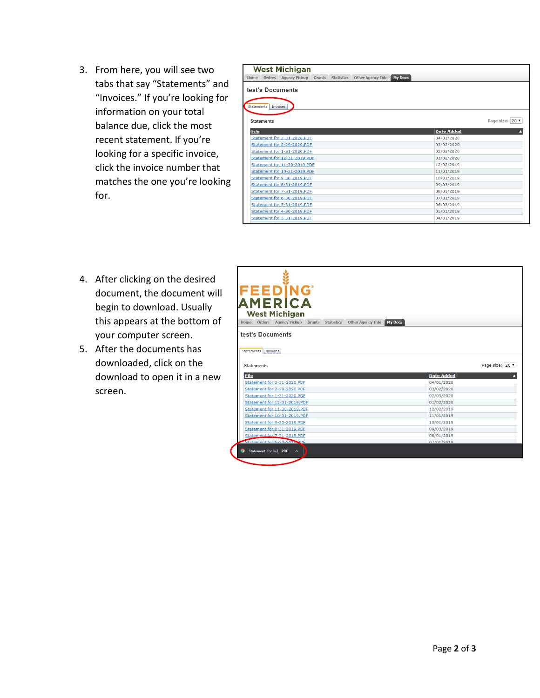3. From here, you will see two tabs that say "Statements" and "Invoices." If you're looking for information on your total balance due, click the most recent statement. If you're looking for a specific invoice, click the invoice number that matches the one you're looking for.

| <b>West Michigan</b>                                                                                                       |                   |  |  |  |  |  |  |  |  |  |
|----------------------------------------------------------------------------------------------------------------------------|-------------------|--|--|--|--|--|--|--|--|--|
| <b>Agency Pickup</b><br>Grants<br><b>Other Agency Info</b><br><b>My Docs</b><br><b>Orders</b><br><b>Statistics</b><br>Home |                   |  |  |  |  |  |  |  |  |  |
| test's Documents<br>Statements Invoices                                                                                    |                   |  |  |  |  |  |  |  |  |  |
| <b>Statements</b>                                                                                                          | Page size: 20 v   |  |  |  |  |  |  |  |  |  |
| File                                                                                                                       | <b>Date Added</b> |  |  |  |  |  |  |  |  |  |
| Statement for 3-31-2020.PDF                                                                                                | 04/01/2020        |  |  |  |  |  |  |  |  |  |
| Statement for 2-29-2020.PDF                                                                                                | 03/02/2020        |  |  |  |  |  |  |  |  |  |
| Statement for 1-31-2020.PDF                                                                                                | 02/03/2020        |  |  |  |  |  |  |  |  |  |
| Statement for 12-31-2019.PDF                                                                                               | 01/02/2020        |  |  |  |  |  |  |  |  |  |
| Statement for 11-30-2019.PDF                                                                                               | 12/02/2019        |  |  |  |  |  |  |  |  |  |
| Statement for 10-31-2019.PDF                                                                                               | 11/01/2019        |  |  |  |  |  |  |  |  |  |
| Statement for 9-30-2019.PDF                                                                                                | 10/01/2019        |  |  |  |  |  |  |  |  |  |
| Statement for 8-31-2019.PDF                                                                                                | 09/03/2019        |  |  |  |  |  |  |  |  |  |
| Statement for 7-31-2019.PDF                                                                                                | 08/01/2019        |  |  |  |  |  |  |  |  |  |
| Statement for 6-30-2019.PDF                                                                                                | 07/01/2019        |  |  |  |  |  |  |  |  |  |
| Statement for 5-31-2019.PDF                                                                                                | 06/03/2019        |  |  |  |  |  |  |  |  |  |
| Statement for 4-30-2019.PDF                                                                                                | 05/01/2019        |  |  |  |  |  |  |  |  |  |
| Statement for 3-31-2019.PDF                                                                                                | 04/01/2019        |  |  |  |  |  |  |  |  |  |
|                                                                                                                            |                   |  |  |  |  |  |  |  |  |  |

- 4. After clicking on the desired document, the document will begin to download. Usually this appears at the bottom of your computer screen.
- 5. After the documents has downloaded, click on the download to open it in a new screen.

| FEEDÏNG<br>AMERICA                                            |                          |
|---------------------------------------------------------------|--------------------------|
|                                                               |                          |
|                                                               |                          |
| <b>West Michigan</b>                                          |                          |
| Home Orders Agency Pickup Grants Statistics Other Agency Info | My Docs                  |
|                                                               |                          |
| test's Documents                                              |                          |
|                                                               |                          |
|                                                               |                          |
| Statements Invoices                                           |                          |
|                                                               |                          |
| <b>Statements</b>                                             | Page size: 20 v          |
|                                                               |                          |
| <b>File</b>                                                   | <b>Date Added</b>        |
| Statement for 3-31-2020.PDF                                   | 04/01/2020               |
| Statement for 2-29-2020.PDF                                   |                          |
|                                                               | 03/02/2020               |
| Statement for 1-31-2020.PDF                                   | 02/03/2020               |
| Statement for 12-31-2019.PDF                                  | 01/02/2020               |
| Statement for 11-30-2019.PDF                                  | 12/02/2019               |
| Statement for 10-31-2019.PDF                                  | 11/01/2019               |
| Statement for 9-30-2019.PDF                                   | 10/01/2019               |
|                                                               |                          |
| Statement for 8-31-2019.PDF                                   | 09/03/2019               |
| Statement for 7-31-2019.PDF                                   | 08/01/2019<br>07/01/2019 |
| Statement for 6-30-2019 PDF<br>Statement for 3-3PDF           |                          |